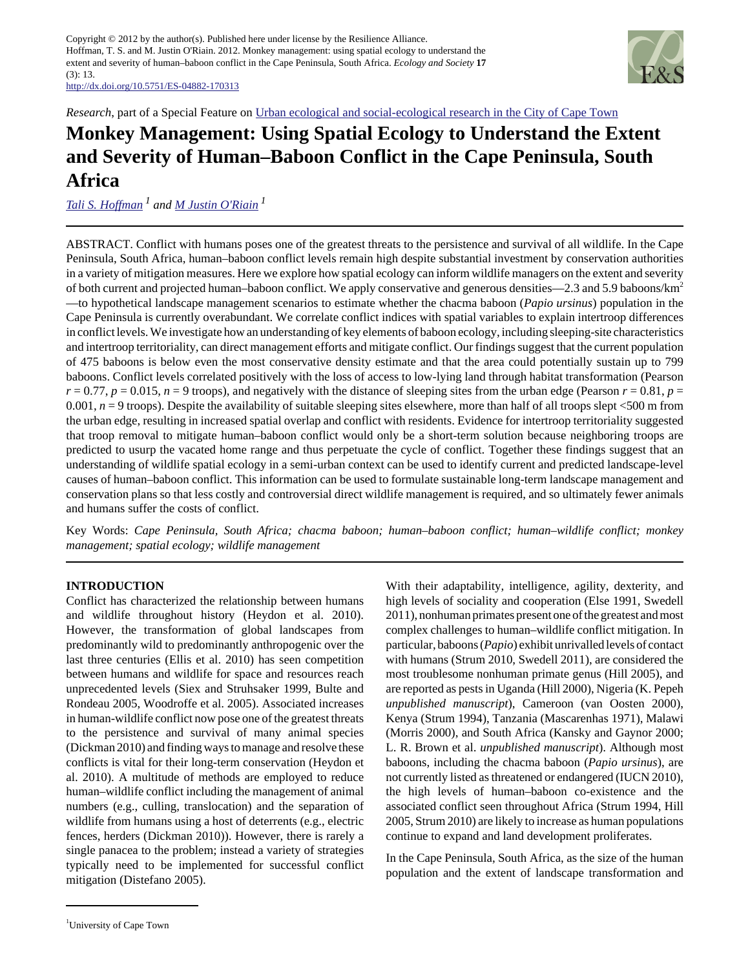Copyright © 2012 by the author(s). Published here under license by the Resilience Alliance. Hoffman, T. S. and M. Justin O'Riain. 2012. Monkey management: using spatial ecology to understand the extent and severity of human–baboon conflict in the Cape Peninsula, South Africa. *Ecology and Society* **17** (3): 13. <http://dx.doi.org/10.5751/ES-04882-170313>



*Research*, part of a Special Feature on [Urban ecological and social-ecological research in the City of Cape Town](http://www.ecologyandsociety.org/viewissue.php?sf=64)

# **Monkey Management: Using Spatial Ecology to Understand the Extent and Severity of Human–Baboon Conflict in the Cape Peninsula, South Africa**

*[Tali S. Hoffman](mailto:tali.hoffman@uct.ac.za) 1 and [M Justin O'Riain](mailto:justin.oriain@uct.ac.za)<sup>1</sup>*

ABSTRACT. Conflict with humans poses one of the greatest threats to the persistence and survival of all wildlife. In the Cape Peninsula, South Africa, human–baboon conflict levels remain high despite substantial investment by conservation authorities in a variety of mitigation measures. Here we explore how spatial ecology can inform wildlife managers on the extent and severity of both current and projected human–baboon conflict. We apply conservative and generous densities—2.3 and 5.9 baboons/km<sup>2</sup> —to hypothetical landscape management scenarios to estimate whether the chacma baboon (*Papio ursinus*) population in the Cape Peninsula is currently overabundant. We correlate conflict indices with spatial variables to explain intertroop differences in conflict levels. We investigate how an understanding of key elements of baboon ecology, including sleeping-site characteristics and intertroop territoriality, can direct management efforts and mitigate conflict. Our findings suggest that the current population of 475 baboons is below even the most conservative density estimate and that the area could potentially sustain up to 799 baboons. Conflict levels correlated positively with the loss of access to low-lying land through habitat transformation (Pearson  $r = 0.77$ ,  $p = 0.015$ ,  $n = 9$  troops), and negatively with the distance of sleeping sites from the urban edge (Pearson  $r = 0.81$ ,  $p =$ 0.001,  $n = 9$  troops). Despite the availability of suitable sleeping sites elsewhere, more than half of all troops slept <500 m from the urban edge, resulting in increased spatial overlap and conflict with residents. Evidence for intertroop territoriality suggested that troop removal to mitigate human–baboon conflict would only be a short-term solution because neighboring troops are predicted to usurp the vacated home range and thus perpetuate the cycle of conflict. Together these findings suggest that an understanding of wildlife spatial ecology in a semi-urban context can be used to identify current and predicted landscape-level causes of human–baboon conflict. This information can be used to formulate sustainable long-term landscape management and conservation plans so that less costly and controversial direct wildlife management is required, and so ultimately fewer animals and humans suffer the costs of conflict.

Key Words: *Cape Peninsula, South Africa; chacma baboon; human–baboon conflict; human–wildlife conflict; monkey management; spatial ecology; wildlife management*

### **INTRODUCTION**

Conflict has characterized the relationship between humans and wildlife throughout history (Heydon et al. 2010). However, the transformation of global landscapes from predominantly wild to predominantly anthropogenic over the last three centuries (Ellis et al. 2010) has seen competition between humans and wildlife for space and resources reach unprecedented levels (Siex and Struhsaker 1999, Bulte and Rondeau 2005, Woodroffe et al. 2005). Associated increases in human-wildlife conflict now pose one of the greatest threats to the persistence and survival of many animal species (Dickman 2010) and finding ways to manage and resolve these conflicts is vital for their long-term conservation (Heydon et al. 2010). A multitude of methods are employed to reduce human–wildlife conflict including the management of animal numbers (e.g., culling, translocation) and the separation of wildlife from humans using a host of deterrents (e.g., electric fences, herders (Dickman 2010)). However, there is rarely a single panacea to the problem; instead a variety of strategies typically need to be implemented for successful conflict mitigation (Distefano 2005).

With their adaptability, intelligence, agility, dexterity, and high levels of sociality and cooperation (Else 1991, Swedell 2011), nonhuman primates present one of the greatest and most complex challenges to human–wildlife conflict mitigation. In particular, baboons (*Papio*) exhibit unrivalled levels of contact with humans (Strum 2010, Swedell 2011), are considered the most troublesome nonhuman primate genus (Hill 2005), and are reported as pests in Uganda (Hill 2000), Nigeria (K. Pepeh *unpublished manuscript*), Cameroon (van Oosten 2000), Kenya (Strum 1994), Tanzania (Mascarenhas 1971), Malawi (Morris 2000), and South Africa (Kansky and Gaynor 2000; L. R. Brown et al. *unpublished manuscript*). Although most baboons, including the chacma baboon (*Papio ursinus*), are not currently listed as threatened or endangered (IUCN 2010), the high levels of human–baboon co-existence and the associated conflict seen throughout Africa (Strum 1994, Hill 2005, Strum 2010) are likely to increase as human populations continue to expand and land development proliferates.

In the Cape Peninsula, South Africa, as the size of the human population and the extent of landscape transformation and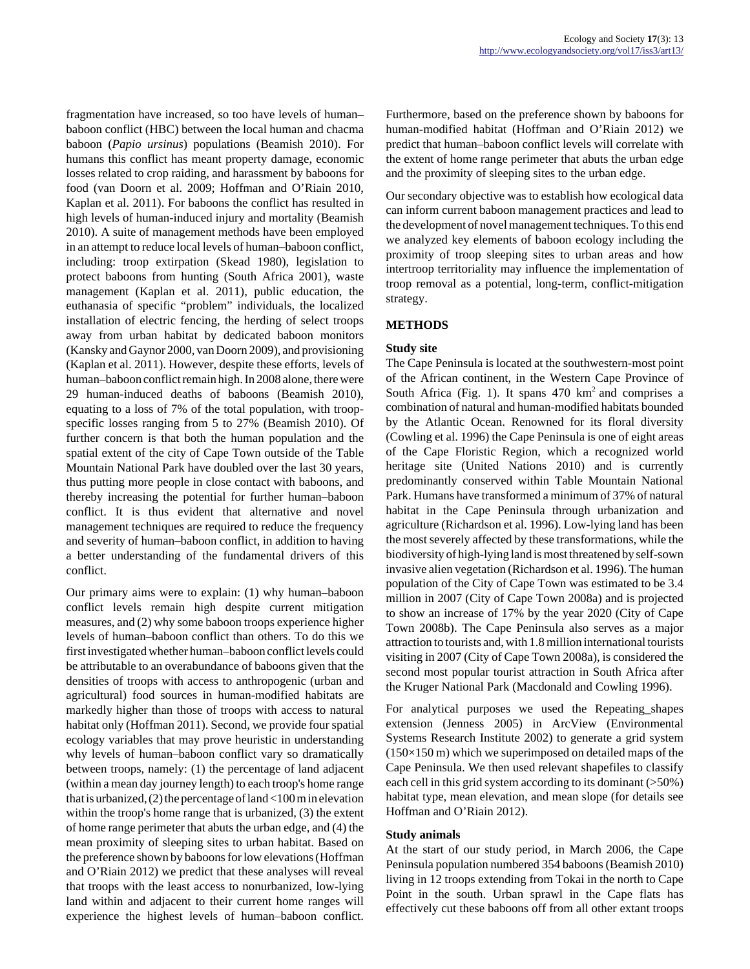fragmentation have increased, so too have levels of human– baboon conflict (HBC) between the local human and chacma baboon (*Papio ursinus*) populations (Beamish 2010). For humans this conflict has meant property damage, economic losses related to crop raiding, and harassment by baboons for food (van Doorn et al. 2009; Hoffman and O'Riain 2010, Kaplan et al. 2011). For baboons the conflict has resulted in high levels of human-induced injury and mortality (Beamish 2010). A suite of management methods have been employed in an attempt to reduce local levels of human–baboon conflict, including: troop extirpation (Skead 1980), legislation to protect baboons from hunting (South Africa 2001), waste management (Kaplan et al. 2011), public education, the euthanasia of specific "problem" individuals, the localized installation of electric fencing, the herding of select troops away from urban habitat by dedicated baboon monitors (Kansky and Gaynor 2000, van Doorn 2009), and provisioning (Kaplan et al. 2011). However, despite these efforts, levels of human–baboon conflict remain high. In 2008 alone, there were 29 human-induced deaths of baboons (Beamish 2010), equating to a loss of 7% of the total population, with troopspecific losses ranging from 5 to 27% (Beamish 2010). Of further concern is that both the human population and the spatial extent of the city of Cape Town outside of the Table Mountain National Park have doubled over the last 30 years, thus putting more people in close contact with baboons, and thereby increasing the potential for further human–baboon conflict. It is thus evident that alternative and novel management techniques are required to reduce the frequency and severity of human–baboon conflict, in addition to having a better understanding of the fundamental drivers of this conflict.

Our primary aims were to explain: (1) why human–baboon conflict levels remain high despite current mitigation measures, and (2) why some baboon troops experience higher levels of human–baboon conflict than others. To do this we first investigated whether human–baboon conflict levels could be attributable to an overabundance of baboons given that the densities of troops with access to anthropogenic (urban and agricultural) food sources in human-modified habitats are markedly higher than those of troops with access to natural habitat only (Hoffman 2011). Second, we provide four spatial ecology variables that may prove heuristic in understanding why levels of human–baboon conflict vary so dramatically between troops, namely: (1) the percentage of land adjacent (within a mean day journey length) to each troop's home range that is urbanized, (2) the percentage of land <100 m in elevation within the troop's home range that is urbanized, (3) the extent of home range perimeter that abuts the urban edge, and (4) the mean proximity of sleeping sites to urban habitat. Based on the preference shown by baboons for low elevations (Hoffman and O'Riain 2012) we predict that these analyses will reveal that troops with the least access to nonurbanized, low-lying land within and adjacent to their current home ranges will experience the highest levels of human–baboon conflict. Furthermore, based on the preference shown by baboons for human-modified habitat (Hoffman and O'Riain 2012) we predict that human–baboon conflict levels will correlate with the extent of home range perimeter that abuts the urban edge and the proximity of sleeping sites to the urban edge.

Our secondary objective was to establish how ecological data can inform current baboon management practices and lead to the development of novel management techniques. To this end we analyzed key elements of baboon ecology including the proximity of troop sleeping sites to urban areas and how intertroop territoriality may influence the implementation of troop removal as a potential, long-term, conflict-mitigation strategy.

### **METHODS**

#### **Study site**

The Cape Peninsula is located at the southwestern-most point of the African continent, in the Western Cape Province of South Africa (Fig. 1). It spans  $470 \text{ km}^2$  and comprises a combination of natural and human-modified habitats bounded by the Atlantic Ocean. Renowned for its floral diversity (Cowling et al. 1996) the Cape Peninsula is one of eight areas of the Cape Floristic Region, which a recognized world heritage site (United Nations 2010) and is currently predominantly conserved within Table Mountain National Park. Humans have transformed a minimum of 37% of natural habitat in the Cape Peninsula through urbanization and agriculture (Richardson et al. 1996). Low-lying land has been the most severely affected by these transformations, while the biodiversity of high-lying land is most threatened by self-sown invasive alien vegetation (Richardson et al. 1996). The human population of the City of Cape Town was estimated to be 3.4 million in 2007 (City of Cape Town 2008a) and is projected to show an increase of 17% by the year 2020 (City of Cape Town 2008b). The Cape Peninsula also serves as a major attraction to tourists and, with 1.8 million international tourists visiting in 2007 (City of Cape Town 2008a), is considered the second most popular tourist attraction in South Africa after the Kruger National Park (Macdonald and Cowling 1996).

For analytical purposes we used the Repeating\_shapes extension (Jenness 2005) in ArcView (Environmental Systems Research Institute 2002) to generate a grid system  $(150\times150 \text{ m})$  which we superimposed on detailed maps of the Cape Peninsula. We then used relevant shapefiles to classify each cell in this grid system according to its dominant (>50%) habitat type, mean elevation, and mean slope (for details see Hoffman and O'Riain 2012).

#### **Study animals**

At the start of our study period, in March 2006, the Cape Peninsula population numbered 354 baboons(Beamish 2010) living in 12 troops extending from Tokai in the north to Cape Point in the south. Urban sprawl in the Cape flats has effectively cut these baboons off from all other extant troops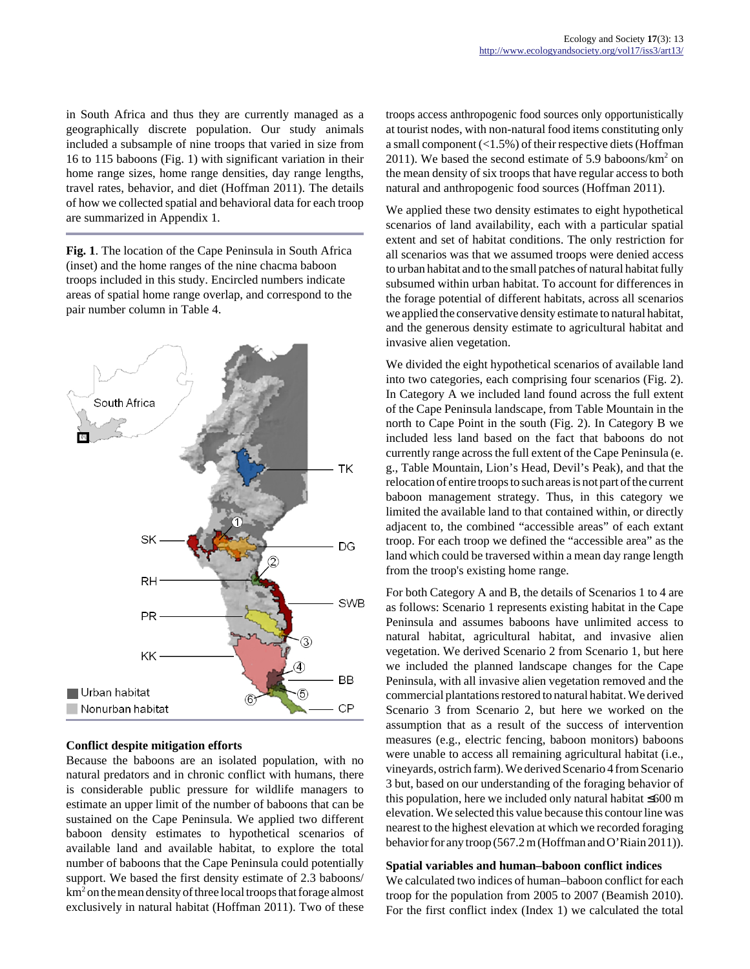in South Africa and thus they are currently managed as a geographically discrete population. Our study animals included a subsample of nine troops that varied in size from 16 to 115 baboons (Fig. 1) with significant variation in their home range sizes, home range densities, day range lengths, travel rates, behavior, and diet (Hoffman 2011). The details of how we collected spatial and behavioral data for each troop are summarized in Appendix 1.

**Fig. 1**. The location of the Cape Peninsula in South Africa (inset) and the home ranges of the nine chacma baboon troops included in this study. Encircled numbers indicate areas of spatial home range overlap, and correspond to the pair number column in Table 4.



#### **Conflict despite mitigation efforts**

Because the baboons are an isolated population, with no natural predators and in chronic conflict with humans, there is considerable public pressure for wildlife managers to estimate an upper limit of the number of baboons that can be sustained on the Cape Peninsula. We applied two different baboon density estimates to hypothetical scenarios of available land and available habitat, to explore the total number of baboons that the Cape Peninsula could potentially support. We based the first density estimate of 2.3 baboons/ km $^2$  on the mean density of three local troops that forage almost exclusively in natural habitat (Hoffman 2011). Two of these troops access anthropogenic food sources only opportunistically at tourist nodes, with non-natural food items constituting only a small component (<1.5%) of their respective diets (Hoffman 2011). We based the second estimate of 5.9 baboons/ $km^2$  on the mean density of six troops that have regular access to both natural and anthropogenic food sources (Hoffman 2011).

We applied these two density estimates to eight hypothetical scenarios of land availability, each with a particular spatial extent and set of habitat conditions. The only restriction for all scenarios was that we assumed troops were denied access to urban habitat and to the small patches of natural habitat fully subsumed within urban habitat. To account for differences in the forage potential of different habitats, across all scenarios we applied the conservative density estimate to natural habitat, and the generous density estimate to agricultural habitat and invasive alien vegetation.

We divided the eight hypothetical scenarios of available land into two categories, each comprising four scenarios (Fig. 2). In Category A we included land found across the full extent of the Cape Peninsula landscape, from Table Mountain in the north to Cape Point in the south (Fig. 2). In Category B we included less land based on the fact that baboons do not currently range across the full extent of the Cape Peninsula (e. g., Table Mountain, Lion's Head, Devil's Peak), and that the relocation of entire troops to such areas is not part of the current baboon management strategy. Thus, in this category we limited the available land to that contained within, or directly adjacent to, the combined "accessible areas" of each extant troop. For each troop we defined the "accessible area" as the land which could be traversed within a mean day range length from the troop's existing home range.

For both Category A and B, the details of Scenarios 1 to 4 are as follows: Scenario 1 represents existing habitat in the Cape Peninsula and assumes baboons have unlimited access to natural habitat, agricultural habitat, and invasive alien vegetation. We derived Scenario 2 from Scenario 1, but here we included the planned landscape changes for the Cape Peninsula, with all invasive alien vegetation removed and the commercial plantations restored to natural habitat. We derived Scenario 3 from Scenario 2, but here we worked on the assumption that as a result of the success of intervention measures (e.g., electric fencing, baboon monitors) baboons were unable to access all remaining agricultural habitat (i.e., vineyards, ostrich farm). We derived Scenario 4 from Scenario 3 but, based on our understanding of the foraging behavior of this population, here we included only natural habitat ≤600 m elevation. We selected this value because this contour line was nearest to the highest elevation at which we recorded foraging behavior for any troop (567.2 m (Hoffman and O'Riain 2011)).

#### **Spatial variables and human–baboon conflict indices**

We calculated two indices of human–baboon conflict for each troop for the population from 2005 to 2007 (Beamish 2010). For the first conflict index (Index 1) we calculated the total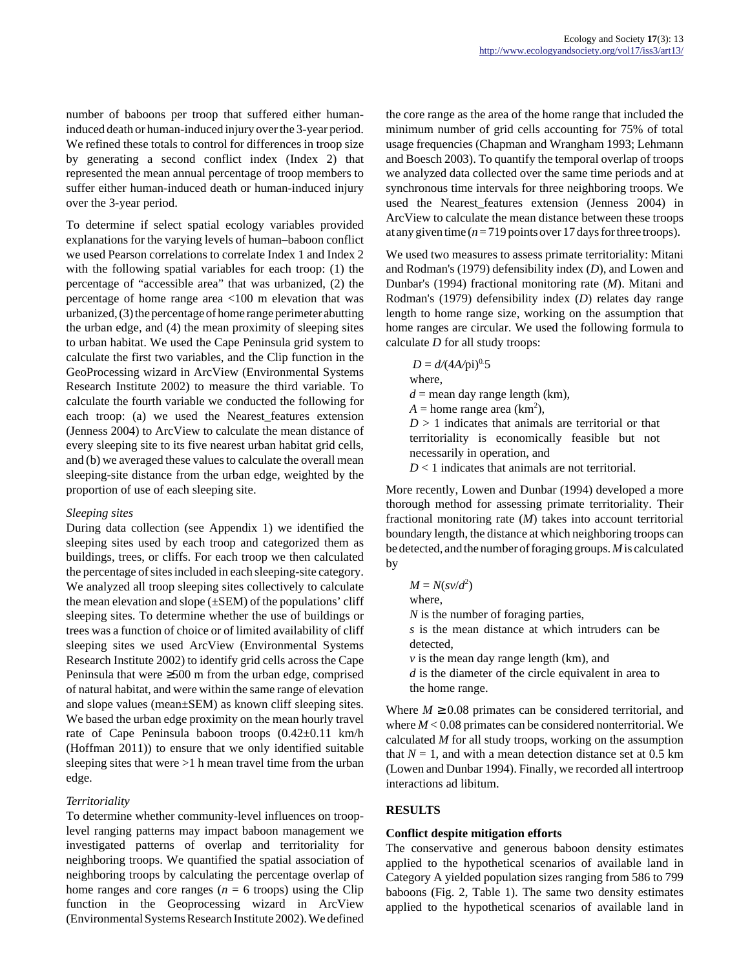number of baboons per troop that suffered either humaninduced death or human-induced injury over the 3-year period. We refined these totals to control for differences in troop size by generating a second conflict index (Index 2) that represented the mean annual percentage of troop members to suffer either human-induced death or human-induced injury over the 3-year period.

To determine if select spatial ecology variables provided explanations for the varying levels of human–baboon conflict we used Pearson correlations to correlate Index 1 and Index 2 with the following spatial variables for each troop: (1) the percentage of "accessible area" that was urbanized, (2) the percentage of home range area <100 m elevation that was urbanized, (3) the percentage of home range perimeter abutting the urban edge, and (4) the mean proximity of sleeping sites to urban habitat. We used the Cape Peninsula grid system to calculate the first two variables, and the Clip function in the GeoProcessing wizard in ArcView (Environmental Systems Research Institute 2002) to measure the third variable. To calculate the fourth variable we conducted the following for each troop: (a) we used the Nearest features extension (Jenness 2004) to ArcView to calculate the mean distance of every sleeping site to its five nearest urban habitat grid cells, and (b) we averaged these values to calculate the overall mean sleeping-site distance from the urban edge, weighted by the proportion of use of each sleeping site.

#### *Sleeping sites*

During data collection (see Appendix 1) we identified the sleeping sites used by each troop and categorized them as buildings, trees, or cliffs. For each troop we then calculated the percentage of sites included in each sleeping-site category. We analyzed all troop sleeping sites collectively to calculate the mean elevation and slope (±SEM) of the populations' cliff sleeping sites. To determine whether the use of buildings or trees was a function of choice or of limited availability of cliff sleeping sites we used ArcView (Environmental Systems Research Institute 2002) to identify grid cells across the Cape Peninsula that were ≥500 m from the urban edge, comprised of natural habitat, and were within the same range of elevation and slope values (mean±SEM) as known cliff sleeping sites. We based the urban edge proximity on the mean hourly travel rate of Cape Peninsula baboon troops (0.42±0.11 km/h (Hoffman 2011)) to ensure that we only identified suitable sleeping sites that were >1 h mean travel time from the urban edge.

#### *Territoriality*

To determine whether community-level influences on trooplevel ranging patterns may impact baboon management we investigated patterns of overlap and territoriality for neighboring troops. We quantified the spatial association of neighboring troops by calculating the percentage overlap of home ranges and core ranges ( $n = 6$  troops) using the Clip function in the Geoprocessing wizard in ArcView (Environmental Systems Research Institute 2002). We defined

the core range as the area of the home range that included the minimum number of grid cells accounting for 75% of total usage frequencies (Chapman and Wrangham 1993; Lehmann and Boesch 2003). To quantify the temporal overlap of troops we analyzed data collected over the same time periods and at synchronous time intervals for three neighboring troops. We used the Nearest features extension (Jenness 2004) in ArcView to calculate the mean distance between these troops at any given time  $(n=719 \text{ points over } 17 \text{ days for three troops}).$ 

We used two measures to assess primate territoriality: Mitani and Rodman's (1979) defensibility index (*D*), and Lowen and Dunbar's (1994) fractional monitoring rate (*M*). Mitani and Rodman's (1979) defensibility index (*D*) relates day range length to home range size, working on the assumption that home ranges are circular. We used the following formula to calculate *D* for all study troops:

 $D = d/(4A/\text{pi})^{0.5}$ where,  $d =$  mean day range length (km),  $A =$  home range area ( $km<sup>2</sup>$ ),  $D > 1$  indicates that animals are territorial or that territoriality is economically feasible but not necessarily in operation, and *D* < 1 indicates that animals are not territorial.

More recently, Lowen and Dunbar (1994) developed a more thorough method for assessing primate territoriality. Their fractional monitoring rate (*M*) takes into account territorial boundary length, the distance at which neighboring troops can be detected, and the number of foraging groups. *M* is calculated by

 $M = N(sv/d^2)$ where, *N* is the number of foraging parties, *s* is the mean distance at which intruders can be detected, *v* is the mean day range length (km), and *d* is the diameter of the circle equivalent in area to the home range.

Where  $M \geq 0.08$  primates can be considered territorial, and where  $M < 0.08$  primates can be considered nonterritorial. We calculated *M* for all study troops, working on the assumption that  $N = 1$ , and with a mean detection distance set at 0.5 km (Lowen and Dunbar 1994). Finally, we recorded all intertroop interactions ad libitum.

### **RESULTS**

### **Conflict despite mitigation efforts**

The conservative and generous baboon density estimates applied to the hypothetical scenarios of available land in Category A yielded population sizes ranging from 586 to 799 baboons (Fig. 2, Table 1). The same two density estimates applied to the hypothetical scenarios of available land in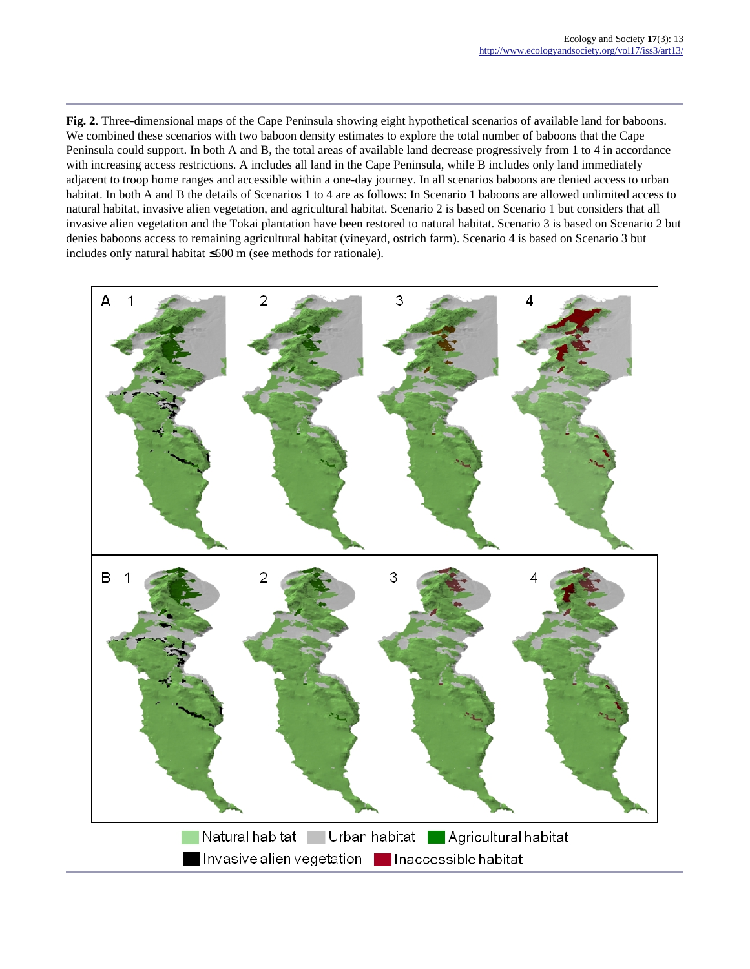**Fig. 2**. Three-dimensional maps of the Cape Peninsula showing eight hypothetical scenarios of available land for baboons. We combined these scenarios with two baboon density estimates to explore the total number of baboons that the Cape Peninsula could support. In both A and B, the total areas of available land decrease progressively from 1 to 4 in accordance with increasing access restrictions. A includes all land in the Cape Peninsula, while B includes only land immediately adjacent to troop home ranges and accessible within a one-day journey. In all scenarios baboons are denied access to urban habitat. In both A and B the details of Scenarios 1 to 4 are as follows: In Scenario 1 baboons are allowed unlimited access to natural habitat, invasive alien vegetation, and agricultural habitat. Scenario 2 is based on Scenario 1 but considers that all invasive alien vegetation and the Tokai plantation have been restored to natural habitat. Scenario 3 is based on Scenario 2 but denies baboons access to remaining agricultural habitat (vineyard, ostrich farm). Scenario 4 is based on Scenario 3 but includes only natural habitat ≤600 m (see methods for rationale).

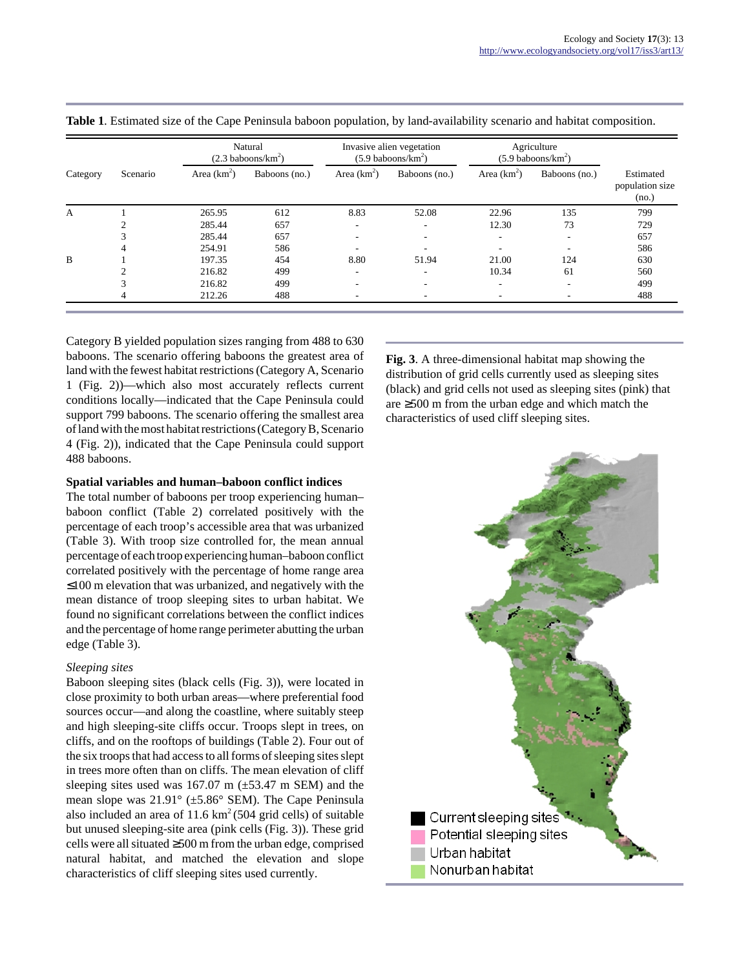|          | Scenario | Natural<br>$(2.3 \text{ baboons/km}^2)$ |               | Invasive alien vegetation<br>$(5.9$ baboons/ $km^2$ ) |               | Agriculture<br>$(5.9 \text{ baboons/km}^2)$ |                          |                                       |  |
|----------|----------|-----------------------------------------|---------------|-------------------------------------------------------|---------------|---------------------------------------------|--------------------------|---------------------------------------|--|
| Category |          | Area $(km^2)$                           | Baboons (no.) | Area $(km^2)$                                         | Baboons (no.) | Area $(km^2)$                               | Baboons (no.)            | Estimated<br>population size<br>(no.) |  |
| А        |          | 265.95                                  | 612           | 8.83                                                  | 52.08         | 22.96                                       | 135                      | 799                                   |  |
|          |          | 285.44                                  | 657           | ٠                                                     |               | 12.30                                       | 73                       | 729                                   |  |
|          |          | 285.44                                  | 657           | $\overline{\phantom{a}}$                              |               | ۰                                           | ٠                        | 657                                   |  |
|          | 4        | 254.91                                  | 586           | $\overline{\phantom{a}}$                              |               | ۰                                           | $\overline{\phantom{a}}$ | 586                                   |  |
| B        |          | 197.35                                  | 454           | 8.80                                                  | 51.94         | 21.00                                       | 124                      | 630                                   |  |
|          |          | 216.82                                  | 499           | ۰                                                     |               | 10.34                                       | 61                       | 560                                   |  |
|          |          | 216.82                                  | 499           | $\overline{\phantom{a}}$                              | ۰             | $\overline{\phantom{a}}$                    | $\overline{\phantom{a}}$ | 499                                   |  |
|          | 4        | 212.26                                  | 488           |                                                       |               |                                             |                          | 488                                   |  |

| Table 1. Estimated size of the Cape Peninsula baboon population, by land-availability scenario and habitat composition |  |  |  |  |
|------------------------------------------------------------------------------------------------------------------------|--|--|--|--|
|------------------------------------------------------------------------------------------------------------------------|--|--|--|--|

Category B yielded population sizes ranging from 488 to 630 baboons. The scenario offering baboons the greatest area of land with the fewest habitat restrictions (Category A, Scenario 1 (Fig. 2))—which also most accurately reflects current conditions locally—indicated that the Cape Peninsula could support 799 baboons. The scenario offering the smallest area of land with the most habitat restrictions (Category B, Scenario 4 (Fig. 2)), indicated that the Cape Peninsula could support 488 baboons.

#### **Spatial variables and human–baboon conflict indices**

The total number of baboons per troop experiencing human– baboon conflict (Table 2) correlated positively with the percentage of each troop's accessible area that was urbanized (Table 3). With troop size controlled for, the mean annual percentage of each troop experiencing human–baboon conflict correlated positively with the percentage of home range area ≤100 m elevation that was urbanized, and negatively with the mean distance of troop sleeping sites to urban habitat. We found no significant correlations between the conflict indices and the percentage of home range perimeter abutting the urban edge (Table 3).

#### *Sleeping sites*

Baboon sleeping sites (black cells (Fig. 3)), were located in close proximity to both urban areas—where preferential food sources occur—and along the coastline, where suitably steep and high sleeping-site cliffs occur. Troops slept in trees, on cliffs, and on the rooftops of buildings (Table 2). Four out of the six troops that had access to all forms of sleeping sites slept in trees more often than on cliffs. The mean elevation of cliff sleeping sites used was 167.07 m  $(\pm 53.47 \text{ m} \text{ SEM})$  and the mean slope was 21.91° (±5.86° SEM). The Cape Peninsula also included an area of  $11.6 \text{ km}^2$  (504 grid cells) of suitable but unused sleeping-site area (pink cells (Fig. 3)). These grid cells were all situated ≥500 m from the urban edge, comprised natural habitat, and matched the elevation and slope characteristics of cliff sleeping sites used currently.

**Fig. 3**. A three-dimensional habitat map showing the distribution of grid cells currently used as sleeping sites (black) and grid cells not used as sleeping sites (pink) that are ≥500 m from the urban edge and which match the characteristics of used cliff sleeping sites.

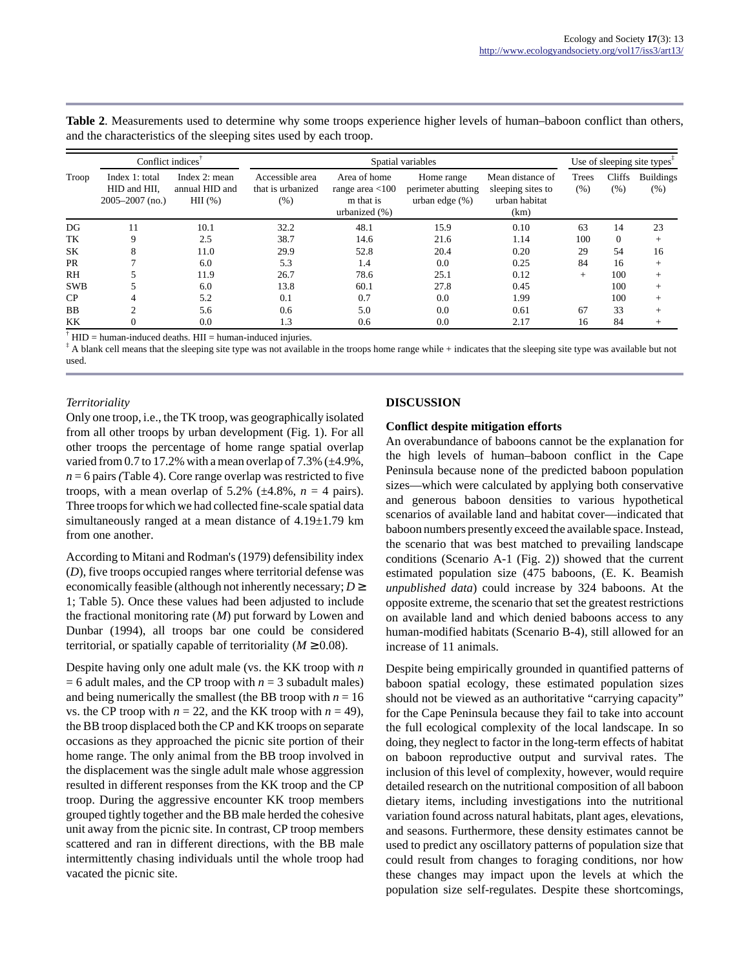|            | Conflict indices $\overline{ }$                       |                                              | Spatial variables                            |                                                                      |                                                       |                                                                |               | Use of sleeping site types <sup>+</sup> |                          |  |
|------------|-------------------------------------------------------|----------------------------------------------|----------------------------------------------|----------------------------------------------------------------------|-------------------------------------------------------|----------------------------------------------------------------|---------------|-----------------------------------------|--------------------------|--|
| Troop      | Index 1: total<br>HID and HII.<br>$2005 - 2007$ (no.) | Index 2: mean<br>annual HID and<br>$HII$ (%) | Accessible area<br>that is urbanized<br>(% ) | Area of home<br>range area $<$ 100<br>m that is<br>urbanized $(\% )$ | Home range<br>perimeter abutting<br>urban edge $(\%)$ | Mean distance of<br>sleeping sites to<br>urban habitat<br>(km) | Trees<br>(% ) | Cliffs<br>(% )                          | <b>Buildings</b><br>(% ) |  |
| DG         | 11                                                    | 10.1                                         | 32.2                                         | 48.1                                                                 | 15.9                                                  | 0.10                                                           | 63            | 14                                      | 23                       |  |
| TK         | 9                                                     | 2.5                                          | 38.7                                         | 14.6                                                                 | 21.6                                                  | 1.14                                                           | 100           | $\Omega$                                | $^{+}$                   |  |
| <b>SK</b>  | 8                                                     | 11.0                                         | 29.9                                         | 52.8                                                                 | 20.4                                                  | 0.20                                                           | 29            | 54                                      | 16                       |  |
| <b>PR</b>  |                                                       | 6.0                                          | 5.3                                          | 1.4                                                                  | 0.0                                                   | 0.25                                                           | 84            | 16                                      | $+$                      |  |
| <b>RH</b>  |                                                       | 11.9                                         | 26.7                                         | 78.6                                                                 | 25.1                                                  | 0.12                                                           | $^{+}$        | 100                                     | $+$                      |  |
| <b>SWB</b> |                                                       | 6.0                                          | 13.8                                         | 60.1                                                                 | 27.8                                                  | 0.45                                                           |               | 100                                     | $^{+}$                   |  |
| CP         |                                                       | 5.2                                          | 0.1                                          | 0.7                                                                  | 0.0                                                   | 1.99                                                           |               | 100                                     |                          |  |
| <b>BB</b>  |                                                       | 5.6                                          | 0.6                                          | 5.0                                                                  | 0.0                                                   | 0.61                                                           | 67            | 33                                      |                          |  |
| KK         | 0                                                     | 0.0                                          | 1.3                                          | 0.6                                                                  | 0.0                                                   | 2.17                                                           | 16            | 84                                      | $^{+}$                   |  |

**Table 2**. Measurements used to determine why some troops experience higher levels of human–baboon conflict than others, and the characteristics of the sleeping sites used by each troop.

 $\dagger$  HID = human-induced deaths. HII = human-induced injuries.

‡ A blank cell means that the sleeping site type was not available in the troops home range while + indicates that the sleeping site type was available but not used.

#### *Territoriality*

Only one troop, i.e., the TK troop, was geographically isolated from all other troops by urban development (Fig. 1). For all other troops the percentage of home range spatial overlap varied from 0.7 to 17.2% with a mean overlap of 7.3%  $(\pm 4.9\%$ , *n* = 6 pairs *(*Table 4). Core range overlap was restricted to five troops, with a mean overlap of 5.2% ( $\pm$ 4.8%, *n* = 4 pairs). Three troops for which we had collected fine-scale spatial data simultaneously ranged at a mean distance of 4.19±1.79 km from one another.

According to Mitani and Rodman's (1979) defensibility index (*D*), five troops occupied ranges where territorial defense was economically feasible (although not inherently necessary; *D* ≥ 1; Table 5). Once these values had been adjusted to include the fractional monitoring rate (*M*) put forward by Lowen and Dunbar (1994), all troops bar one could be considered territorial, or spatially capable of territoriality ( $M \ge 0.08$ ).

Despite having only one adult male (vs. the KK troop with *n*  $= 6$  adult males, and the CP troop with  $n = 3$  subadult males) and being numerically the smallest (the BB troop with  $n = 16$ ) vs. the CP troop with  $n = 22$ , and the KK troop with  $n = 49$ ), the BB troop displaced both the CP and KK troops on separate occasions as they approached the picnic site portion of their home range. The only animal from the BB troop involved in the displacement was the single adult male whose aggression resulted in different responses from the KK troop and the CP troop. During the aggressive encounter KK troop members grouped tightly together and the BB male herded the cohesive unit away from the picnic site. In contrast, CP troop members scattered and ran in different directions, with the BB male intermittently chasing individuals until the whole troop had vacated the picnic site.

#### **DISCUSSION**

#### **Conflict despite mitigation efforts**

An overabundance of baboons cannot be the explanation for the high levels of human–baboon conflict in the Cape Peninsula because none of the predicted baboon population sizes—which were calculated by applying both conservative and generous baboon densities to various hypothetical scenarios of available land and habitat cover—indicated that baboon numbers presently exceed the available space. Instead, the scenario that was best matched to prevailing landscape conditions (Scenario A-1 (Fig. 2)) showed that the current estimated population size (475 baboons, (E. K. Beamish *unpublished data*) could increase by 324 baboons. At the opposite extreme, the scenario that set the greatest restrictions on available land and which denied baboons access to any human-modified habitats (Scenario B-4), still allowed for an increase of 11 animals.

Despite being empirically grounded in quantified patterns of baboon spatial ecology, these estimated population sizes should not be viewed as an authoritative "carrying capacity" for the Cape Peninsula because they fail to take into account the full ecological complexity of the local landscape. In so doing, they neglect to factor in the long-term effects of habitat on baboon reproductive output and survival rates. The inclusion of this level of complexity, however, would require detailed research on the nutritional composition of all baboon dietary items, including investigations into the nutritional variation found across natural habitats, plant ages, elevations, and seasons. Furthermore, these density estimates cannot be used to predict any oscillatory patterns of population size that could result from changes to foraging conditions, nor how these changes may impact upon the levels at which the population size self-regulates. Despite these shortcomings,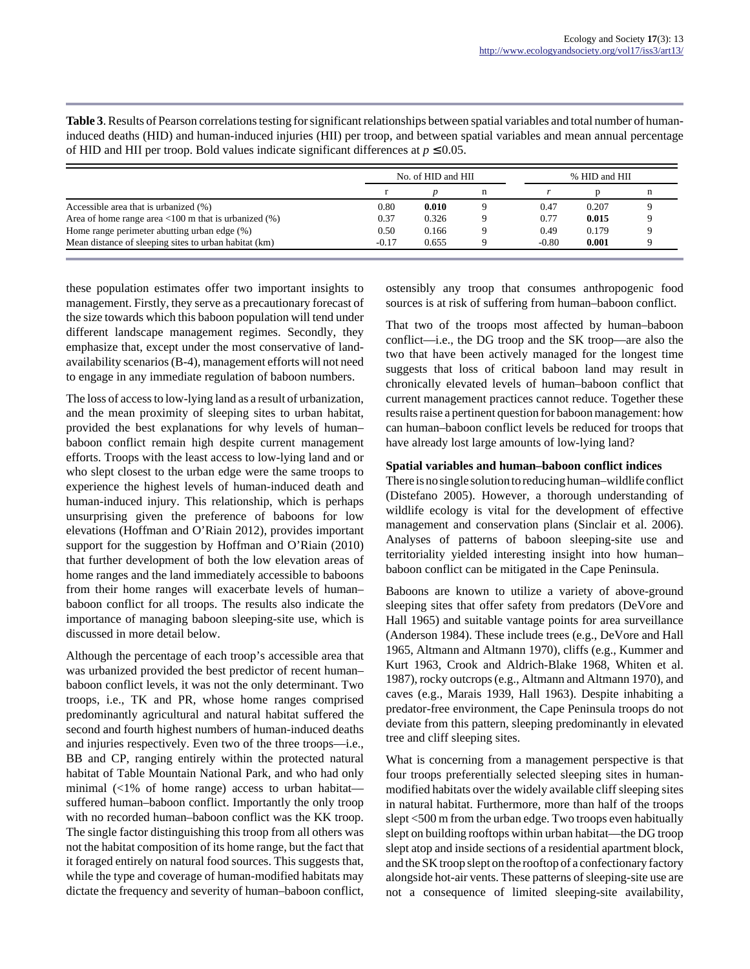|                                                                               | No. of HID and HII |       |   | % HID and HII |       |  |
|-------------------------------------------------------------------------------|--------------------|-------|---|---------------|-------|--|
|                                                                               |                    |       | n |               |       |  |
| Accessible area that is urbanized (%)                                         | 0.80               | 0.010 |   | 0.47          | 0.207 |  |
| Area of home range area $\langle 100 \text{ m} \rangle$ that is urbanized (%) | 0.37               | 0.326 |   | 0.77          | 0.015 |  |
| Home range perimeter abutting urban edge (%)                                  | 0.50               | 0.166 |   | 0.49          | 0.179 |  |
| Mean distance of sleeping sites to urban habitat (km)                         | $-0.17$            | 0.655 |   | $-0.80$       | 0.001 |  |

**Table 3**. Results of Pearson correlations testing for significant relationships between spatial variables and total number of humaninduced deaths (HID) and human-induced injuries (HII) per troop, and between spatial variables and mean annual percentage of HID and HII per troop. Bold values indicate significant differences at  $p \le 0.05$ .

these population estimates offer two important insights to management. Firstly, they serve as a precautionary forecast of the size towards which this baboon population will tend under different landscape management regimes. Secondly, they emphasize that, except under the most conservative of landavailability scenarios (B-4), management efforts will not need to engage in any immediate regulation of baboon numbers.

The loss of access to low-lying land as a result of urbanization, and the mean proximity of sleeping sites to urban habitat, provided the best explanations for why levels of human– baboon conflict remain high despite current management efforts. Troops with the least access to low-lying land and or who slept closest to the urban edge were the same troops to experience the highest levels of human-induced death and human-induced injury. This relationship, which is perhaps unsurprising given the preference of baboons for low elevations (Hoffman and O'Riain 2012), provides important support for the suggestion by Hoffman and O'Riain (2010) that further development of both the low elevation areas of home ranges and the land immediately accessible to baboons from their home ranges will exacerbate levels of human– baboon conflict for all troops. The results also indicate the importance of managing baboon sleeping-site use, which is discussed in more detail below.

Although the percentage of each troop's accessible area that was urbanized provided the best predictor of recent human– baboon conflict levels, it was not the only determinant. Two troops, i.e., TK and PR, whose home ranges comprised predominantly agricultural and natural habitat suffered the second and fourth highest numbers of human-induced deaths and injuries respectively. Even two of the three troops—i.e., BB and CP, ranging entirely within the protected natural habitat of Table Mountain National Park, and who had only minimal  $\langle 1\%$  of home range) access to urban habitat suffered human–baboon conflict. Importantly the only troop with no recorded human–baboon conflict was the KK troop. The single factor distinguishing this troop from all others was not the habitat composition of its home range, but the fact that it foraged entirely on natural food sources. This suggests that, while the type and coverage of human-modified habitats may dictate the frequency and severity of human–baboon conflict, ostensibly any troop that consumes anthropogenic food sources is at risk of suffering from human–baboon conflict.

That two of the troops most affected by human–baboon conflict—i.e., the DG troop and the SK troop—are also the two that have been actively managed for the longest time suggests that loss of critical baboon land may result in chronically elevated levels of human–baboon conflict that current management practices cannot reduce. Together these results raise a pertinent question for baboon management: how can human–baboon conflict levels be reduced for troops that have already lost large amounts of low-lying land?

#### **Spatial variables and human–baboon conflict indices**

There is no single solution to reducing human–wildlife conflict (Distefano 2005). However, a thorough understanding of wildlife ecology is vital for the development of effective management and conservation plans (Sinclair et al. 2006). Analyses of patterns of baboon sleeping-site use and territoriality yielded interesting insight into how human– baboon conflict can be mitigated in the Cape Peninsula.

Baboons are known to utilize a variety of above-ground sleeping sites that offer safety from predators (DeVore and Hall 1965) and suitable vantage points for area surveillance (Anderson 1984). These include trees (e.g., DeVore and Hall 1965, Altmann and Altmann 1970), cliffs (e.g., Kummer and Kurt 1963, Crook and Aldrich-Blake 1968, Whiten et al. 1987), rocky outcrops (e.g., Altmann and Altmann 1970), and caves (e.g., Marais 1939, Hall 1963). Despite inhabiting a predator-free environment, the Cape Peninsula troops do not deviate from this pattern, sleeping predominantly in elevated tree and cliff sleeping sites.

What is concerning from a management perspective is that four troops preferentially selected sleeping sites in humanmodified habitats over the widely available cliff sleeping sites in natural habitat. Furthermore, more than half of the troops slept <500 m from the urban edge. Two troops even habitually slept on building rooftops within urban habitat—the DG troop slept atop and inside sections of a residential apartment block, and the SK troop slept on the rooftop of a confectionary factory alongside hot-air vents. These patterns of sleeping-site use are not a consequence of limited sleeping-site availability,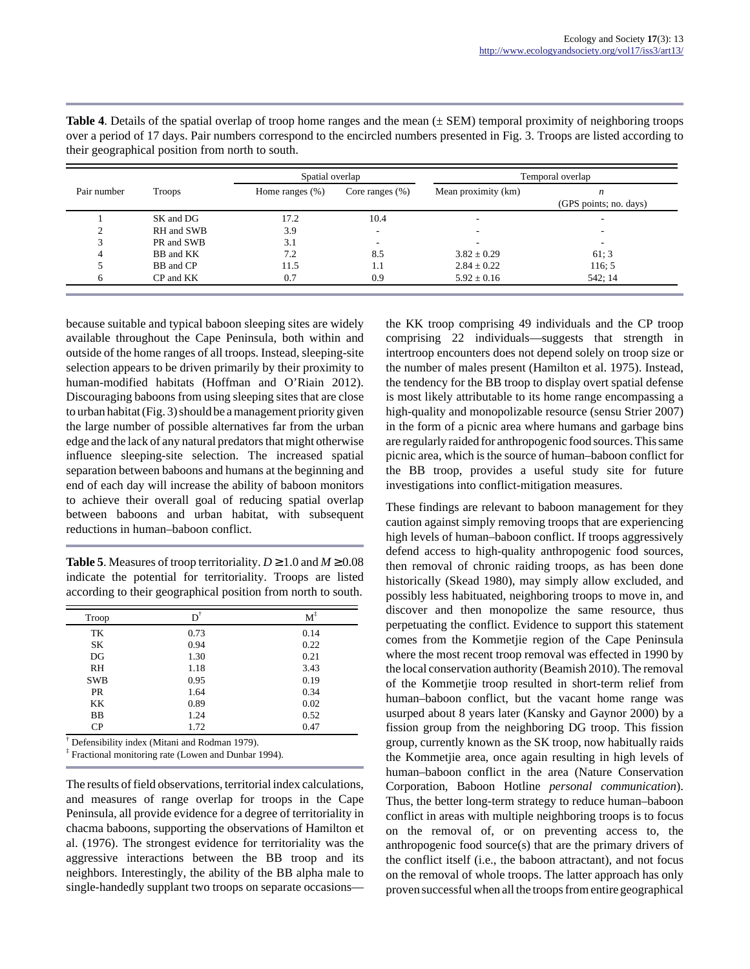|             |               | Spatial overlap    |                    | Temporal overlap    |                             |  |
|-------------|---------------|--------------------|--------------------|---------------------|-----------------------------|--|
| Pair number | <b>Troops</b> | Home ranges $(\%)$ | Core ranges $(\%)$ | Mean proximity (km) | n<br>(GPS points; no. days) |  |
|             | SK and DG     | 17.2               | 10.4               |                     | -                           |  |
|             | RH and SWB    | 3.9                |                    |                     |                             |  |
| 3           | PR and SWB    | 3.1                |                    |                     |                             |  |
|             | BB and KK     | 7.2                | 8.5                | $3.82 \pm 0.29$     | 61:3                        |  |
|             | BB and CP     | 11.5               | 1.1                | $2.84 \pm 0.22$     | 116:5                       |  |
| 6           | CP and KK     | 0.7                | 0.9                | $5.92 \pm 0.16$     | 542; 14                     |  |

**Table 4**. Details of the spatial overlap of troop home ranges and the mean (± SEM) temporal proximity of neighboring troops over a period of 17 days. Pair numbers correspond to the encircled numbers presented in Fig. 3. Troops are listed according to their geographical position from north to south.

because suitable and typical baboon sleeping sites are widely available throughout the Cape Peninsula, both within and outside of the home ranges of all troops. Instead, sleeping-site selection appears to be driven primarily by their proximity to human-modified habitats (Hoffman and O'Riain 2012). Discouraging baboons from using sleeping sites that are close to urban habitat (Fig. 3) should be a management priority given the large number of possible alternatives far from the urban edge and the lack of any natural predators that might otherwise influence sleeping-site selection. The increased spatial separation between baboons and humans at the beginning and end of each day will increase the ability of baboon monitors to achieve their overall goal of reducing spatial overlap between baboons and urban habitat, with subsequent reductions in human–baboon conflict.

**Table 5**. Measures of troop territoriality.  $D \ge 1.0$  and  $M \ge 0.08$ indicate the potential for territoriality. Troops are listed according to their geographical position from north to south.

| Troop      | $\mathbf{D}^\dagger$ | $\mathbf{M}^{\ddagger}$ |
|------------|----------------------|-------------------------|
| TK         | 0.73                 | 0.14                    |
| SK         | 0.94                 | 0.22                    |
| DG         | 1.30                 | 0.21                    |
| <b>RH</b>  | 1.18                 | 3.43                    |
| <b>SWB</b> | 0.95                 | 0.19                    |
| <b>PR</b>  | 1.64                 | 0.34                    |
| KК         | 0.89                 | 0.02                    |
| BB         | 1.24                 | 0.52                    |
| CP         | 1.72                 | 0.47                    |

† Defensibility index (Mitani and Rodman 1979).

‡ Fractional monitoring rate (Lowen and Dunbar 1994).

The results of field observations, territorial index calculations, and measures of range overlap for troops in the Cape Peninsula, all provide evidence for a degree of territoriality in chacma baboons, supporting the observations of Hamilton et al. (1976). The strongest evidence for territoriality was the aggressive interactions between the BB troop and its neighbors. Interestingly, the ability of the BB alpha male to single-handedly supplant two troops on separate occasionsthe KK troop comprising 49 individuals and the CP troop comprising 22 individuals—suggests that strength in intertroop encounters does not depend solely on troop size or the number of males present (Hamilton et al. 1975). Instead, the tendency for the BB troop to display overt spatial defense is most likely attributable to its home range encompassing a high-quality and monopolizable resource (sensu Strier 2007) in the form of a picnic area where humans and garbage bins are regularly raided for anthropogenic food sources. This same picnic area, which is the source of human–baboon conflict for the BB troop, provides a useful study site for future investigations into conflict-mitigation measures.

These findings are relevant to baboon management for they caution against simply removing troops that are experiencing high levels of human–baboon conflict. If troops aggressively defend access to high-quality anthropogenic food sources, then removal of chronic raiding troops, as has been done historically (Skead 1980), may simply allow excluded, and possibly less habituated, neighboring troops to move in, and discover and then monopolize the same resource, thus perpetuating the conflict. Evidence to support this statement comes from the Kommetjie region of the Cape Peninsula where the most recent troop removal was effected in 1990 by the local conservation authority (Beamish 2010). The removal of the Kommetjie troop resulted in short-term relief from human–baboon conflict, but the vacant home range was usurped about 8 years later (Kansky and Gaynor 2000) by a fission group from the neighboring DG troop. This fission group, currently known as the SK troop, now habitually raids the Kommetjie area, once again resulting in high levels of human–baboon conflict in the area (Nature Conservation Corporation, Baboon Hotline *personal communication*). Thus, the better long-term strategy to reduce human–baboon conflict in areas with multiple neighboring troops is to focus on the removal of, or on preventing access to, the anthropogenic food source(s) that are the primary drivers of the conflict itself (i.e., the baboon attractant), and not focus on the removal of whole troops. The latter approach has only proven successful when all the troops from entire geographical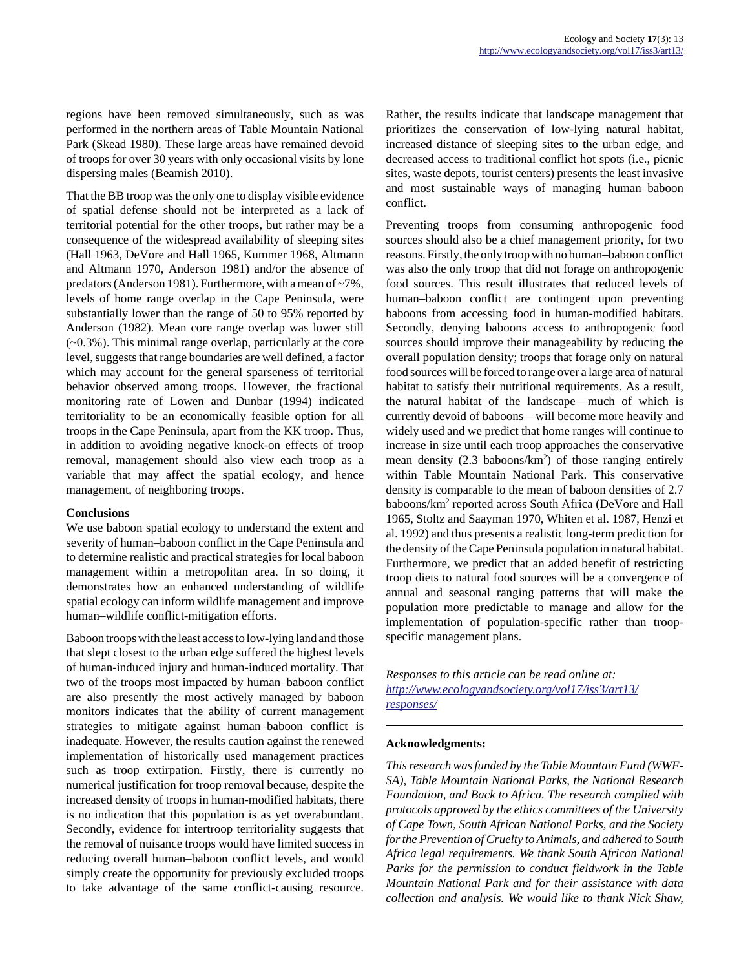regions have been removed simultaneously, such as was performed in the northern areas of Table Mountain National Park (Skead 1980). These large areas have remained devoid of troops for over 30 years with only occasional visits by lone dispersing males (Beamish 2010).

That the BB troop was the only one to display visible evidence of spatial defense should not be interpreted as a lack of territorial potential for the other troops, but rather may be a consequence of the widespread availability of sleeping sites (Hall 1963, DeVore and Hall 1965, Kummer 1968, Altmann and Altmann 1970, Anderson 1981) and/or the absence of predators (Anderson 1981). Furthermore, with a mean of ~7%, levels of home range overlap in the Cape Peninsula, were substantially lower than the range of 50 to 95% reported by Anderson (1982). Mean core range overlap was lower still (~0.3%). This minimal range overlap, particularly at the core level, suggests that range boundaries are well defined, a factor which may account for the general sparseness of territorial behavior observed among troops. However, the fractional monitoring rate of Lowen and Dunbar (1994) indicated territoriality to be an economically feasible option for all troops in the Cape Peninsula, apart from the KK troop. Thus, in addition to avoiding negative knock-on effects of troop removal, management should also view each troop as a variable that may affect the spatial ecology, and hence management, of neighboring troops.

#### **Conclusions**

We use baboon spatial ecology to understand the extent and severity of human–baboon conflict in the Cape Peninsula and to determine realistic and practical strategies for local baboon management within a metropolitan area. In so doing, it demonstrates how an enhanced understanding of wildlife spatial ecology can inform wildlife management and improve human–wildlife conflict-mitigation efforts.

Baboon troops with the least access to low-lying land and those that slept closest to the urban edge suffered the highest levels of human-induced injury and human-induced mortality. That two of the troops most impacted by human–baboon conflict are also presently the most actively managed by baboon monitors indicates that the ability of current management strategies to mitigate against human–baboon conflict is inadequate. However, the results caution against the renewed implementation of historically used management practices such as troop extirpation. Firstly, there is currently no numerical justification for troop removal because, despite the increased density of troops in human-modified habitats, there is no indication that this population is as yet overabundant. Secondly, evidence for intertroop territoriality suggests that the removal of nuisance troops would have limited success in reducing overall human–baboon conflict levels, and would simply create the opportunity for previously excluded troops to take advantage of the same conflict-causing resource. Rather, the results indicate that landscape management that prioritizes the conservation of low-lying natural habitat, increased distance of sleeping sites to the urban edge, and decreased access to traditional conflict hot spots (i.e., picnic sites, waste depots, tourist centers) presents the least invasive and most sustainable ways of managing human–baboon conflict.

Preventing troops from consuming anthropogenic food sources should also be a chief management priority, for two reasons. Firstly, the only troop with no human–baboon conflict was also the only troop that did not forage on anthropogenic food sources. This result illustrates that reduced levels of human–baboon conflict are contingent upon preventing baboons from accessing food in human-modified habitats. Secondly, denying baboons access to anthropogenic food sources should improve their manageability by reducing the overall population density; troops that forage only on natural food sources will be forced to range over a large area of natural habitat to satisfy their nutritional requirements. As a result, the natural habitat of the landscape—much of which is currently devoid of baboons—will become more heavily and widely used and we predict that home ranges will continue to increase in size until each troop approaches the conservative mean density  $(2.3 \text{ baboons/km}^2)$  of those ranging entirely within Table Mountain National Park. This conservative density is comparable to the mean of baboon densities of 2.7 baboons/km<sup>2</sup> reported across South Africa (DeVore and Hall 1965, Stoltz and Saayman 1970, Whiten et al. 1987, Henzi et al. 1992) and thus presents a realistic long-term prediction for the density of the Cape Peninsula population in natural habitat. Furthermore, we predict that an added benefit of restricting troop diets to natural food sources will be a convergence of annual and seasonal ranging patterns that will make the population more predictable to manage and allow for the implementation of population-specific rather than troopspecific management plans.

*Responses to this article can be read online at: [http://www](http://www.ecologyandsociety.org/vol17/iss3/art13/responses/).ecologyandsociety.org/vol17/iss3/art13/ responses/*

### **Acknowledgments:**

*This research was funded by the Table Mountain Fund (WWF-SA), Table Mountain National Parks, the National Research Foundation, and Back to Africa. The research complied with protocols approved by the ethics committees of the University of Cape Town, South African National Parks, and the Society for the Prevention of Cruelty to Animals, and adhered to South Africa legal requirements. We thank South African National Parks for the permission to conduct fieldwork in the Table Mountain National Park and for their assistance with data collection and analysis. We would like to thank Nick Shaw,*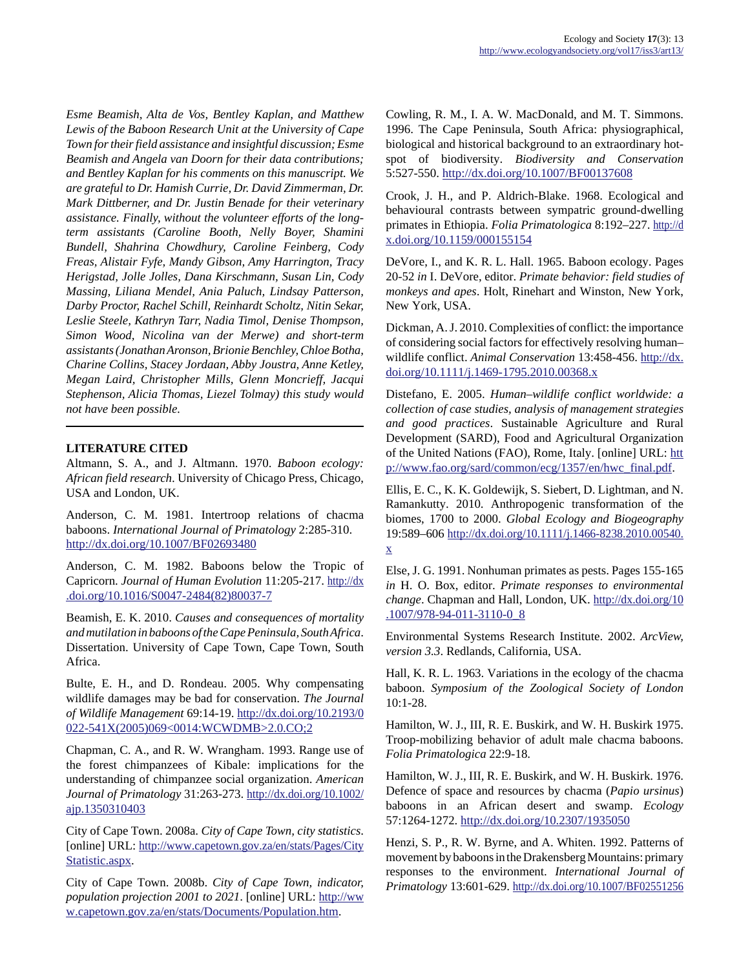*Esme Beamish, Alta de Vos, Bentley Kaplan, and Matthew Lewis of the Baboon Research Unit at the University of Cape Town for their field assistance and insightful discussion; Esme Beamish and Angela van Doorn for their data contributions; and Bentley Kaplan for his comments on this manuscript. We are grateful to Dr. Hamish Currie, Dr. David Zimmerman, Dr. Mark Dittberner, and Dr. Justin Benade for their veterinary assistance. Finally, without the volunteer efforts of the longterm assistants (Caroline Booth, Nelly Boyer, Shamini Bundell, Shahrina Chowdhury, Caroline Feinberg, Cody Freas, Alistair Fyfe, Mandy Gibson, Amy Harrington, Tracy Herigstad, Jolle Jolles, Dana Kirschmann, Susan Lin, Cody Massing, Liliana Mendel, Ania Paluch, Lindsay Patterson, Darby Proctor, Rachel Schill, Reinhardt Scholtz, Nitin Sekar, Leslie Steele, Kathryn Tarr, Nadia Timol, Denise Thompson, Simon Wood, Nicolina van der Merwe) and short-term assistants (Jonathan Aronson, Brionie Benchley, Chloe Botha, Charine Collins, Stacey Jordaan, Abby Joustra, Anne Ketley, Megan Laird, Christopher Mills, Glenn Moncrieff, Jacqui Stephenson, Alicia Thomas, Liezel Tolmay) this study would not have been possible.*

## **LITERATURE CITED**

Altmann, S. A., and J. Altmann. 1970. *Baboon ecology: African field research*. University of Chicago Press, Chicago, USA and London, UK.

Anderson, C. M. 1981. Intertroop relations of chacma baboons. *International Journal of Primatology* 2:285-310. <http://dx.doi.org/10.1007/BF02693480>

Anderson, C. M. 1982. Baboons below the Tropic of Capricorn. *Journal of Human Evolution* 11:205-217. [http://dx](http://dx.doi.org/10.1016/S0047-2484(82)80037-7) [.doi.org/10.1016/S0047-2484\(82\)80037-7](http://dx.doi.org/10.1016/S0047-2484(82)80037-7)

Beamish, E. K. 2010. *Causes and consequences of mortality and mutilation in baboons of the Cape Peninsula, South Africa*. Dissertation. University of Cape Town, Cape Town, South Africa.

Bulte, E. H., and D. Rondeau. 2005. Why compensating wildlife damages may be bad for conservation. *The Journal of Wildlife Management* 69:14-19. [http://dx.doi.org/10.2193/0](http://dx.doi.org/10.2193/0022-541X(2005)069<0014:WCWDMB>2.0.CO;2) [022-541X\(2005\)069<0014:WCWDMB>2.0.CO;2](http://dx.doi.org/10.2193/0022-541X(2005)069<0014:WCWDMB>2.0.CO;2)

Chapman, C. A., and R. W. Wrangham. 1993. Range use of the forest chimpanzees of Kibale: implications for the understanding of chimpanzee social organization. *American Journal of Primatology* 31:263-273. [http://dx.doi.org/10.1002/](http://dx.doi.org/10.1002/ajp.1350310403) [ajp.1350310403](http://dx.doi.org/10.1002/ajp.1350310403)

City of Cape Town. 2008a. *City of Cape Town, city statistics*. [online] URL: [http://www.capetown.gov.za/en/stats/Pages/City](http://www.capetown.gov.za/en/stats/Pages/CityStatistic.aspx) [Statistic.aspx](http://www.capetown.gov.za/en/stats/Pages/CityStatistic.aspx).

City of Cape Town. 2008b. *City of Cape Town, indicator, population projection 2001 to 2021*. [online] URL: [http://ww](http://www.capetown.gov.za/en/stats/Documents/Population.htm) [w.capetown.gov.za/en/stats/Documents/Population.htm](http://www.capetown.gov.za/en/stats/Documents/Population.htm).

Cowling, R. M., I. A. W. MacDonald, and M. T. Simmons. 1996. The Cape Peninsula, South Africa: physiographical, biological and historical background to an extraordinary hotspot of biodiversity. *Biodiversity and Conservation* 5:527-550.<http://dx.doi.org/10.1007/BF00137608>

Crook, J. H., and P. Aldrich-Blake. 1968. Ecological and behavioural contrasts between sympatric ground-dwelling primates in Ethiopia. *Folia Primatologica* 8:192–227. [http://d](http://dx.doi.org/10.1159/000155154) [x.doi.org/10.1159/000155154](http://dx.doi.org/10.1159/000155154)

DeVore, I., and K. R. L. Hall. 1965. Baboon ecology. Pages 20-52 *in* I. DeVore, editor. *Primate behavior: field studies of monkeys and apes*. Holt, Rinehart and Winston, New York, New York, USA.

Dickman, A. J. 2010. Complexities of conflict: the importance of considering social factors for effectively resolving human– wildlife conflict. *Animal Conservation* 13:458-456. [http://dx.](http://dx.doi.org/10.1111/j.1469-1795.2010.00368.x) [doi.org/10.1111/j.1469-1795.2010.00368.x](http://dx.doi.org/10.1111/j.1469-1795.2010.00368.x)

Distefano, E. 2005. *Human–wildlife conflict worldwide: a collection of case studies, analysis of management strategies and good practices*. Sustainable Agriculture and Rural Development (SARD), Food and Agricultural Organization of the United Nations (FAO), Rome, Italy. [online] URL: [htt](http://www.fao.org/sard/common/ecg/1357/en/hwc_final.pdf) [p://www.fao.org/sard/common/ecg/1357/en/hwc\\_final.pdf.](http://www.fao.org/sard/common/ecg/1357/en/hwc_final.pdf)

Ellis, E. C., K. K. Goldewijk, S. Siebert, D. Lightman, and N. Ramankutty. 2010. Anthropogenic transformation of the biomes, 1700 to 2000. *Global Ecology and Biogeography* 19:589–606 [http://dx.doi.org/10.1111/j.1466-8238.2010.00540.](http://dx.doi.org/10.1111/j.1466-8238.2010.00540.x) [x](http://dx.doi.org/10.1111/j.1466-8238.2010.00540.x)

Else, J. G. 1991. Nonhuman primates as pests. Pages 155-165 *in* H. O. Box, editor. *Primate responses to environmental change*. Chapman and Hall, London, UK. [http://dx.doi.org/10](http://dx.doi.org/10.1007/978-94-011-3110-0_8) [.1007/978-94-011-3110-0\\_8](http://dx.doi.org/10.1007/978-94-011-3110-0_8)

Environmental Systems Research Institute. 2002. *ArcView, version 3.3*. Redlands, California, USA.

Hall, K. R. L. 1963. Variations in the ecology of the chacma baboon. *Symposium of the Zoological Society of London* 10:1-28.

Hamilton, W. J., III, R. E. Buskirk, and W. H. Buskirk 1975. Troop-mobilizing behavior of adult male chacma baboons. *Folia Primatologica* 22:9-18.

Hamilton, W. J., III, R. E. Buskirk, and W. H. Buskirk. 1976. Defence of space and resources by chacma (*Papio ursinus*) baboons in an African desert and swamp. *Ecology* 57:1264-1272.<http://dx.doi.org/10.2307/1935050>

Henzi, S. P., R. W. Byrne, and A. Whiten. 1992. Patterns of movement by baboons in the Drakensberg Mountains: primary responses to the environment. *International Journal of Primatology* 13:601-629. <http://dx.doi.org/10.1007/BF02551256>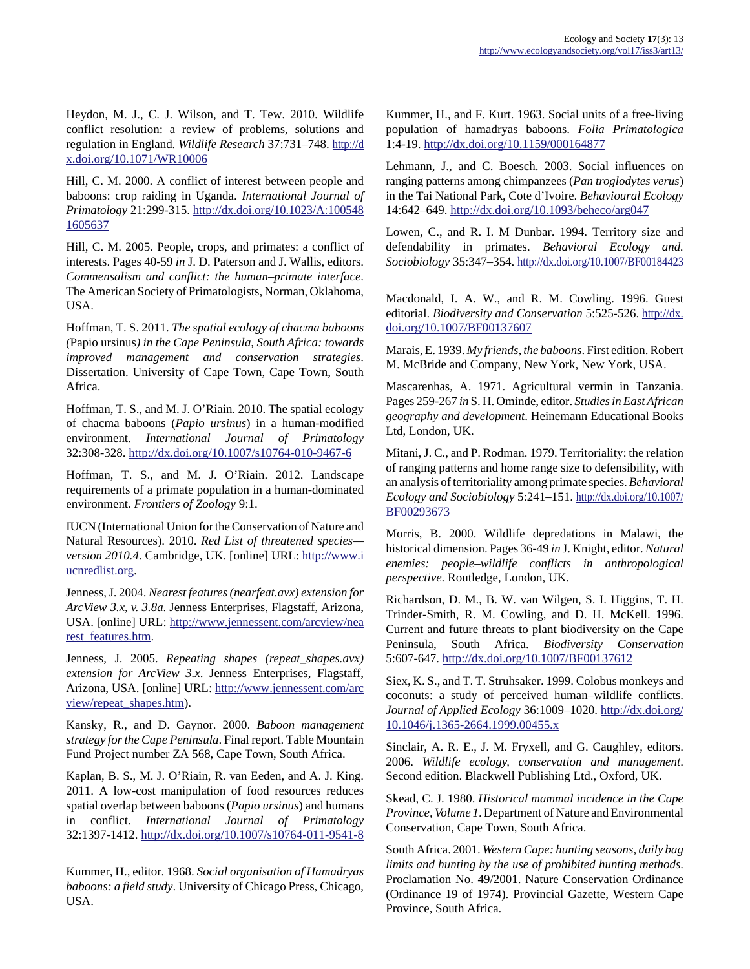Heydon, M. J., C. J. Wilson, and T. Tew. 2010. Wildlife conflict resolution: a review of problems, solutions and regulation in England. *Wildlife Research* 37:731–748. [http://d](http://dx.doi.org/10.1071/WR10006) [x.doi.org/10.1071/WR10006](http://dx.doi.org/10.1071/WR10006)

Hill, C. M. 2000. A conflict of interest between people and baboons: crop raiding in Uganda. *International Journal of Primatology* 21:299-315. [http://dx.doi.org/10.1023/A:100548](http://dx.doi.org/10.1023/A:1005481605637) [1605637](http://dx.doi.org/10.1023/A:1005481605637)

Hill, C. M. 2005. People, crops, and primates: a conflict of interests. Pages 40-59 *in* J. D. Paterson and J. Wallis, editors. *Commensalism and conflict: the human–primate interface*. The American Society of Primatologists, Norman, Oklahoma, USA.

Hoffman, T. S. 2011. *The spatial ecology of chacma baboons (*Papio ursinus*) in the Cape Peninsula, South Africa: towards improved management and conservation strategies*. Dissertation. University of Cape Town, Cape Town, South Africa.

Hoffman, T. S., and M. J. O'Riain. 2010. The spatial ecology of chacma baboons (*Papio ursinus*) in a human-modified environment. *International Journal of Primatology* 32:308-328.<http://dx.doi.org/10.1007/s10764-010-9467-6>

Hoffman, T. S., and M. J. O'Riain. 2012. Landscape requirements of a primate population in a human-dominated environment. *Frontiers of Zoology* 9:1.

IUCN (International Union for the Conservation of Nature and Natural Resources). 2010. *Red List of threatened species version 2010.4*. Cambridge, UK. [online] URL: [http://www.i](http://www.iucnredlist.org) [ucnredlist.org](http://www.iucnredlist.org).

Jenness, J. 2004. *Nearest features (nearfeat.avx) extension for ArcView 3.x, v. 3.8a*. Jenness Enterprises, Flagstaff, Arizona, USA. [online] URL: [http://www.jennessent.com/arcview/nea](http://www.jennessent.com/arcview/nearest_features.htm) [rest\\_features.htm](http://www.jennessent.com/arcview/nearest_features.htm).

Jenness, J. 2005. *Repeating shapes (repeat\_shapes.avx) extension for ArcView 3.x*. Jenness Enterprises, Flagstaff, Arizona, USA. [online] URL: [http://www.jennessent.com/arc](http://www.jennessent.com/arcview/repeat_shapes.htm) [view/repeat\\_shapes.htm](http://www.jennessent.com/arcview/repeat_shapes.htm)).

Kansky, R., and D. Gaynor. 2000. *Baboon management strategy for the Cape Peninsula*. Final report. Table Mountain Fund Project number ZA 568, Cape Town, South Africa.

Kaplan, B. S., M. J. O'Riain, R. van Eeden, and A. J. King. 2011. A low-cost manipulation of food resources reduces spatial overlap between baboons (*Papio ursinus*) and humans in conflict. *International Journal of Primatology* 32:1397-1412.<http://dx.doi.org/10.1007/s10764-011-9541-8>

Kummer, H., editor. 1968. *Social organisation of Hamadryas baboons: a field study*. University of Chicago Press, Chicago, USA.

Kummer, H., and F. Kurt. 1963. Social units of a free-living population of hamadryas baboons. *Folia Primatologica* 1:4-19.<http://dx.doi.org/10.1159/000164877>

Lehmann, J., and C. Boesch. 2003. Social influences on ranging patterns among chimpanzees (*Pan troglodytes verus*) in the Tai National Park, Cote d'Ivoire. *Behavioural Ecology* 14:642–649. <http://dx.doi.org/10.1093/beheco/arg047>

Lowen, C., and R. I. M Dunbar. 1994. Territory size and defendability in primates. *Behavioral Ecology and. Sociobiology* 35:347–354.<http://dx.doi.org/10.1007/BF00184423>

Macdonald, I. A. W., and R. M. Cowling. 1996. Guest editorial. *Biodiversity and Conservation* 5:525-526. [http://dx.](http://dx.doi.org/10.1007/BF00137607) [doi.org/10.1007/BF00137607](http://dx.doi.org/10.1007/BF00137607)

Marais, E. 1939. *My friends, the baboons*. First edition. Robert M. McBride and Company, New York, New York, USA.

Mascarenhas, A. 1971. Agricultural vermin in Tanzania. Pages 259-267 *in* S. H. Ominde, editor. *Studies in East African geography and development*. Heinemann Educational Books Ltd, London, UK.

Mitani, J. C., and P. Rodman. 1979. Territoriality: the relation of ranging patterns and home range size to defensibility, with an analysis of territoriality among primate species. *Behavioral Ecology and Sociobiology* 5:241–151. [http://dx.doi.org/10.1007/](http://dx.doi.org/10.1007/BF00293673) [BF00293673](http://dx.doi.org/10.1007/BF00293673)

Morris, B. 2000. Wildlife depredations in Malawi, the historical dimension. Pages 36-49 *in* J. Knight, editor. *Natural enemies: people–wildlife conflicts in anthropological perspective*. Routledge, London, UK.

Richardson, D. M., B. W. van Wilgen, S. I. Higgins, T. H. Trinder-Smith, R. M. Cowling, and D. H. McKell. 1996. Current and future threats to plant biodiversity on the Cape Peninsula, South Africa. *Biodiversity Conservation* 5:607-647.<http://dx.doi.org/10.1007/BF00137612>

Siex, K. S., and T. T. Struhsaker. 1999. Colobus monkeys and coconuts: a study of perceived human–wildlife conflicts. *Journal of Applied Ecology* 36:1009–1020. [http://dx.doi.org/](http://dx.doi.org/10.1046/j.1365-2664.1999.00455.x) [10.1046/j.1365-2664.1999.00455.x](http://dx.doi.org/10.1046/j.1365-2664.1999.00455.x)

Sinclair, A. R. E., J. M. Fryxell, and G. Caughley, editors. 2006. *Wildlife ecology, conservation and management*. Second edition. Blackwell Publishing Ltd., Oxford, UK.

Skead, C. J. 1980. *Historical mammal incidence in the Cape Province, Volume 1*. Department of Nature and Environmental Conservation, Cape Town, South Africa.

South Africa. 2001. *Western Cape: hunting seasons, daily bag limits and hunting by the use of prohibited hunting methods*. Proclamation No. 49/2001. Nature Conservation Ordinance (Ordinance 19 of 1974). Provincial Gazette, Western Cape Province, South Africa.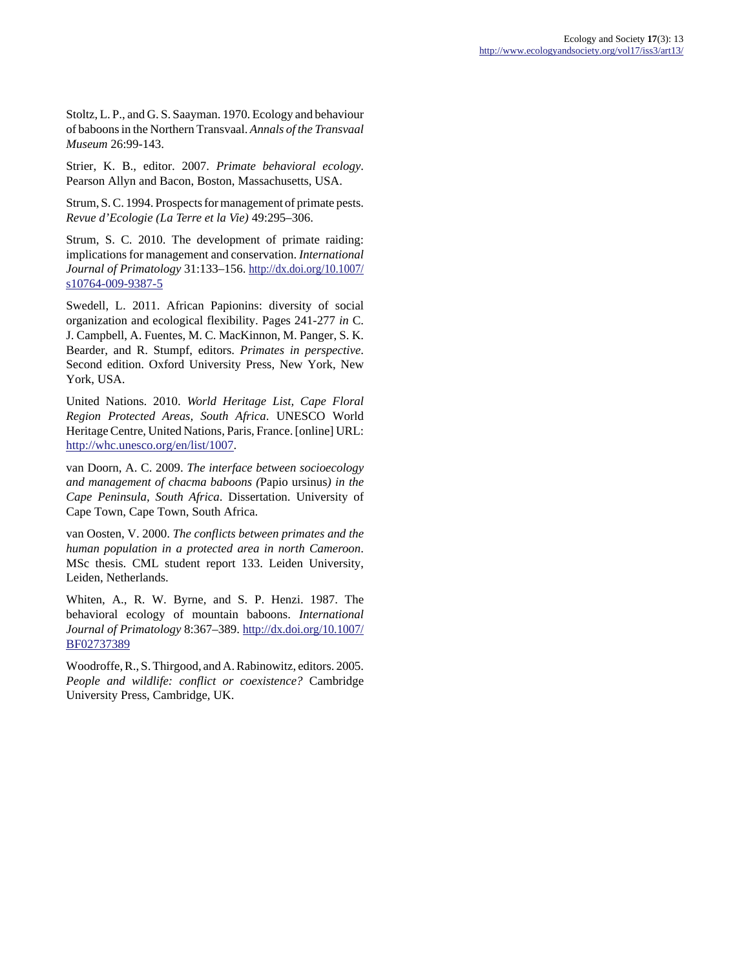Stoltz, L. P., and G. S. Saayman. 1970. Ecology and behaviour of baboons in the Northern Transvaal. *Annals of the Transvaal Museum* 26:99-143.

Strier, K. B., editor. 2007. *Primate behavioral ecology*. Pearson Allyn and Bacon, Boston, Massachusetts, USA.

Strum, S. C. 1994. Prospects for management of primate pests. *Revue d'Ecologie (La Terre et la Vie)* 49:295–306.

Strum, S. C. 2010. The development of primate raiding: implications for management and conservation. *International Journal of Primatology* 31:133–156. [http://dx.doi.org/10.1007/](http://dx.doi.org/10.1007/s10764-009-9387-5) [s10764-009-9387-5](http://dx.doi.org/10.1007/s10764-009-9387-5)

Swedell, L. 2011. African Papionins: diversity of social organization and ecological flexibility. Pages 241-277 *in* C. J. Campbell, A. Fuentes, M. C. MacKinnon, M. Panger, S. K. Bearder, and R. Stumpf, editors. *Primates in perspective*. Second edition. Oxford University Press, New York, New York, USA.

United Nations. 2010. *World Heritage List, Cape Floral Region Protected Areas, South Africa*. UNESCO World Heritage Centre, United Nations, Paris, France. [online] URL: [http://whc.unesco.org/en/list/1007.](http://whc.unesco.org/en/list/1007)

van Doorn, A. C. 2009. *The interface between socioecology and management of chacma baboons (*Papio ursinus*) in the Cape Peninsula, South Africa*. Dissertation. University of Cape Town, Cape Town, South Africa.

van Oosten, V. 2000. *The conflicts between primates and the human population in a protected area in north Cameroon*. MSc thesis. CML student report 133. Leiden University, Leiden, Netherlands.

Whiten, A., R. W. Byrne, and S. P. Henzi. 1987. The behavioral ecology of mountain baboons. *International Journal of Primatology* 8:367–389. [http://dx.doi.org/10.1007/](http://dx.doi.org/10.1007/BF02737389) [BF02737389](http://dx.doi.org/10.1007/BF02737389)

Woodroffe, R., S. Thirgood, and A. Rabinowitz, editors. 2005. *People and wildlife: conflict or coexistence?* Cambridge University Press, Cambridge, UK.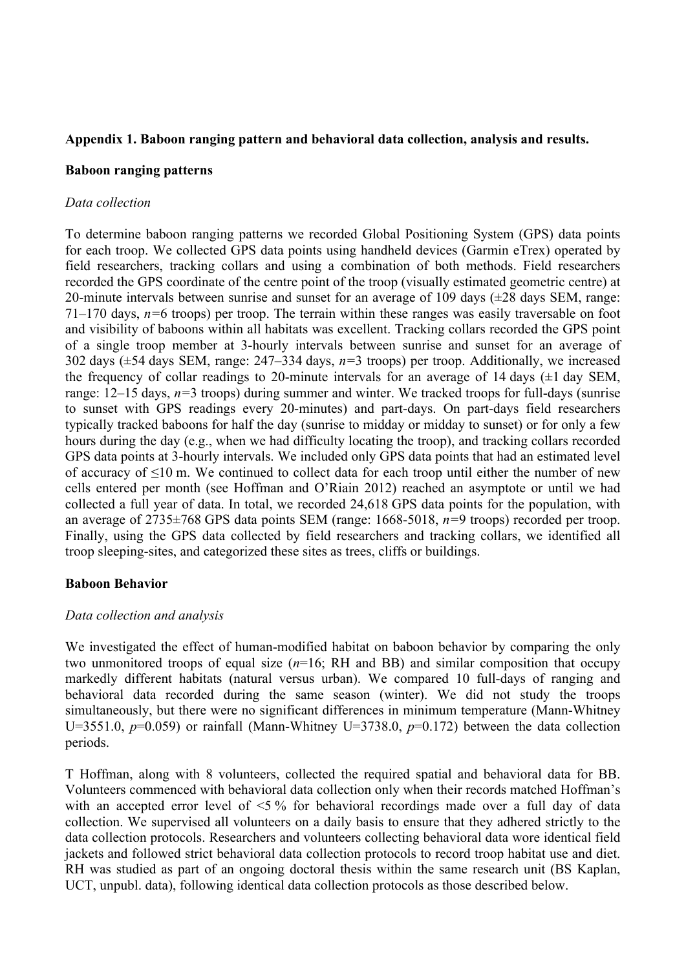# **Appendix 1. Baboon ranging pattern and behavioral data collection, analysis and results.**

# **Baboon ranging patterns**

# *Data collection*

To determine baboon ranging patterns we recorded Global Positioning System (GPS) data points for each troop. We collected GPS data points using handheld devices (Garmin eTrex) operated by field researchers, tracking collars and using a combination of both methods. Field researchers recorded the GPS coordinate of the centre point of the troop (visually estimated geometric centre) at 20-minute intervals between sunrise and sunset for an average of 109 days (±28 days SEM, range: 71–170 days, *n=*6 troops) per troop. The terrain within these ranges was easily traversable on foot and visibility of baboons within all habitats was excellent. Tracking collars recorded the GPS point of a single troop member at 3-hourly intervals between sunrise and sunset for an average of 302 days (±54 days SEM, range: 247–334 days, *n=*3 troops) per troop. Additionally, we increased the frequency of collar readings to 20-minute intervals for an average of 14 days  $(\pm 1)$  day SEM, range: 12–15 days, *n=*3 troops) during summer and winter. We tracked troops for full-days (sunrise to sunset with GPS readings every 20-minutes) and part-days. On part-days field researchers typically tracked baboons for half the day (sunrise to midday or midday to sunset) or for only a few hours during the day (e.g., when we had difficulty locating the troop), and tracking collars recorded GPS data points at 3-hourly intervals. We included only GPS data points that had an estimated level of accuracy of ≤10 m. We continued to collect data for each troop until either the number of new cells entered per month (see Hoffman and O'Riain 2012) reached an asymptote or until we had collected a full year of data. In total, we recorded 24,618 GPS data points for the population, with an average of 2735±768 GPS data points SEM (range: 1668-5018, *n=*9 troops) recorded per troop. Finally, using the GPS data collected by field researchers and tracking collars, we identified all troop sleeping-sites, and categorized these sites as trees, cliffs or buildings.

# **Baboon Behavior**

# *Data collection and analysis*

We investigated the effect of human-modified habitat on baboon behavior by comparing the only two unmonitored troops of equal size (*n*=16; RH and BB) and similar composition that occupy markedly different habitats (natural versus urban). We compared 10 full-days of ranging and behavioral data recorded during the same season (winter). We did not study the troops simultaneously, but there were no significant differences in minimum temperature (Mann-Whitney U=3551.0, *p*=0.059) or rainfall (Mann-Whitney U=3738.0, *p*=0.172) between the data collection periods.

T Hoffman, along with 8 volunteers, collected the required spatial and behavioral data for BB. Volunteers commenced with behavioral data collection only when their records matched Hoffman's with an accepted error level of  $\leq$  5% for behavioral recordings made over a full day of data collection. We supervised all volunteers on a daily basis to ensure that they adhered strictly to the data collection protocols. Researchers and volunteers collecting behavioral data wore identical field jackets and followed strict behavioral data collection protocols to record troop habitat use and diet. RH was studied as part of an ongoing doctoral thesis within the same research unit (BS Kaplan, UCT, unpubl. data), following identical data collection protocols as those described below.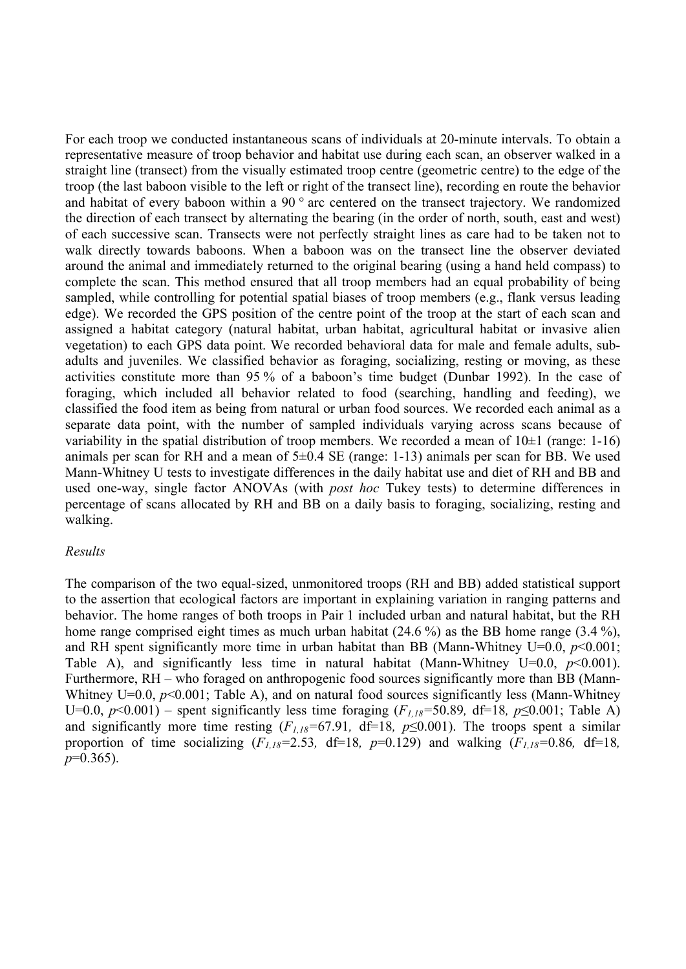For each troop we conducted instantaneous scans of individuals at 20-minute intervals. To obtain a representative measure of troop behavior and habitat use during each scan, an observer walked in a straight line (transect) from the visually estimated troop centre (geometric centre) to the edge of the troop (the last baboon visible to the left or right of the transect line), recording en route the behavior and habitat of every baboon within a 90 ° arc centered on the transect trajectory. We randomized the direction of each transect by alternating the bearing (in the order of north, south, east and west) of each successive scan. Transects were not perfectly straight lines as care had to be taken not to walk directly towards baboons. When a baboon was on the transect line the observer deviated around the animal and immediately returned to the original bearing (using a hand held compass) to complete the scan. This method ensured that all troop members had an equal probability of being sampled, while controlling for potential spatial biases of troop members (e.g., flank versus leading edge). We recorded the GPS position of the centre point of the troop at the start of each scan and assigned a habitat category (natural habitat, urban habitat, agricultural habitat or invasive alien vegetation) to each GPS data point. We recorded behavioral data for male and female adults, subadults and juveniles. We classified behavior as foraging, socializing, resting or moving, as these activities constitute more than 95 % of a baboon's time budget (Dunbar 1992). In the case of foraging, which included all behavior related to food (searching, handling and feeding), we classified the food item as being from natural or urban food sources. We recorded each animal as a separate data point, with the number of sampled individuals varying across scans because of variability in the spatial distribution of troop members. We recorded a mean of  $10\pm1$  (range: 1-16) animals per scan for RH and a mean of 5±0.4 SE (range: 1-13) animals per scan for BB. We used Mann-Whitney U tests to investigate differences in the daily habitat use and diet of RH and BB and used one-way, single factor ANOVAs (with *post hoc* Tukey tests) to determine differences in percentage of scans allocated by RH and BB on a daily basis to foraging, socializing, resting and walking.

# *Results*

The comparison of the two equal-sized, unmonitored troops (RH and BB) added statistical support to the assertion that ecological factors are important in explaining variation in ranging patterns and behavior. The home ranges of both troops in Pair 1 included urban and natural habitat, but the RH home range comprised eight times as much urban habitat (24.6 %) as the BB home range (3.4 %), and RH spent significantly more time in urban habitat than BB (Mann-Whitney  $U=0.0, p<0.001$ ; Table A), and significantly less time in natural habitat (Mann-Whitney  $U=0.0$ ,  $p<0.001$ ). Furthermore, RH – who foraged on anthropogenic food sources significantly more than BB (Mann-Whitney U=0.0,  $p$ <0.001; Table A), and on natural food sources significantly less (Mann-Whitney U=0.0,  $p$ <0.001) – spent significantly less time foraging ( $F_{1,18}$ =50.89, df=18,  $p$ ≤0.001; Table A) and significantly more time resting  $(F_{1,18}=67.91, df=18, p \le 0.001)$ . The troops spent a similar proportion of time socializing  $(F_{1,18}=2.53, df=18, p=0.129)$  and walking  $(F_{1,18}=0.86, df=18,$ *p*=0.365).